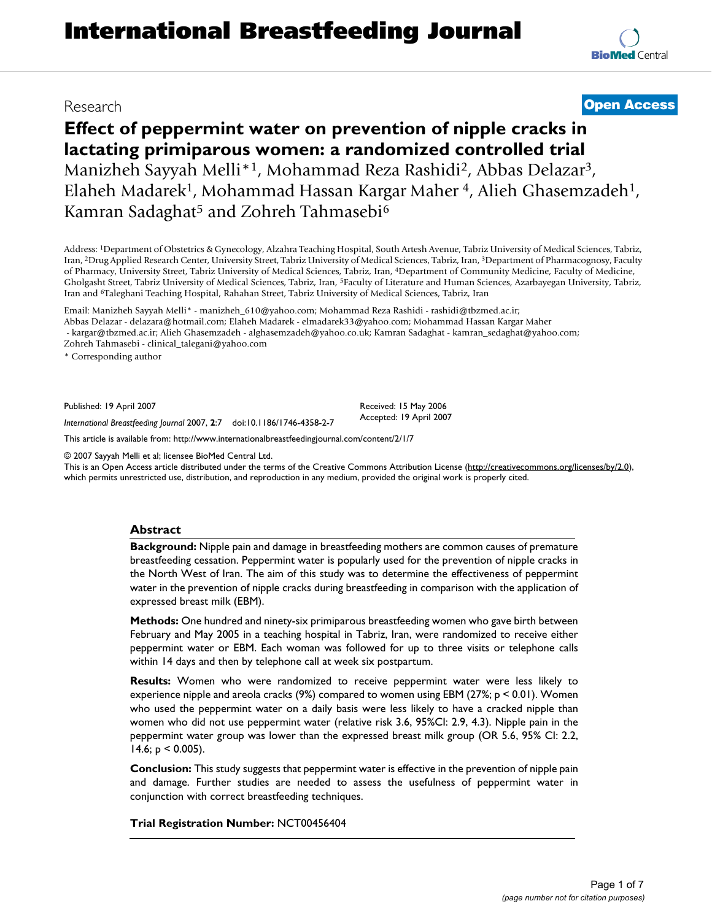# **Effect of peppermint water on prevention of nipple cracks in lactating primiparous women: a randomized controlled trial** Manizheh Sayyah Melli\*1, Mohammad Reza Rashidi2, Abbas Delazar3, Elaheh Madarek<sup>1</sup>, Mohammad Hassan Kargar Maher<sup>4</sup>, Alieh Ghasemzadeh<sup>1</sup>,

Kamran Sadaghat<sup>5</sup> and Zohreh Tahmasebi<sup>6</sup>

Address: 1Department of Obstetrics & Gynecology, Alzahra Teaching Hospital, South Artesh Avenue, Tabriz University of Medical Sciences, Tabriz, Iran, 2Drug Applied Research Center, University Street, Tabriz University of Medical Sciences, Tabriz, Iran, 3Department of Pharmacognosy, Faculty of Pharmacy, University Street, Tabriz University of Medical Sciences, Tabriz, Iran, 4Department of Community Medicine, Faculty of Medicine, Gholgasht Street, Tabriz University of Medical Sciences, Tabriz, Iran, 5Faculty of Literature and Human Sciences, Azarbayegan University, Tabriz, Iran and 6Taleghani Teaching Hospital, Rahahan Street, Tabriz University of Medical Sciences, Tabriz, Iran

Email: Manizheh Sayyah Melli\* - manizheh\_610@yahoo.com; Mohammad Reza Rashidi - rashidi@tbzmed.ac.ir; Abbas Delazar - delazara@hotmail.com; Elaheh Madarek - elmadarek33@yahoo.com; Mohammad Hassan Kargar Maher - kargar@tbzmed.ac.ir; Alieh Ghasemzadeh - alghasemzadeh@yahoo.co.uk; Kamran Sadaghat - kamran\_sedaghat@yahoo.com; Zohreh Tahmasebi - clinical\_talegani@yahoo.com

\* Corresponding author

Published: 19 April 2007

*International Breastfeeding Journal* 2007, **2**:7 doi:10.1186/1746-4358-2-7

[This article is available from: http://www.internationalbreastfeedingjournal.com/content/2/1/7](http://www.internationalbreastfeedingjournal.com/content/2/1/7)

© 2007 Sayyah Melli et al; licensee BioMed Central Ltd.

This is an Open Access article distributed under the terms of the Creative Commons Attribution License [\(http://creativecommons.org/licenses/by/2.0\)](http://creativecommons.org/licenses/by/2.0), which permits unrestricted use, distribution, and reproduction in any medium, provided the original work is properly cited.

#### **Abstract**

**Background:** Nipple pain and damage in breastfeeding mothers are common causes of premature breastfeeding cessation. Peppermint water is popularly used for the prevention of nipple cracks in the North West of Iran. The aim of this study was to determine the effectiveness of peppermint water in the prevention of nipple cracks during breastfeeding in comparison with the application of expressed breast milk (EBM).

**Methods:** One hundred and ninety-six primiparous breastfeeding women who gave birth between February and May 2005 in a teaching hospital in Tabriz, Iran, were randomized to receive either peppermint water or EBM. Each woman was followed for up to three visits or telephone calls within 14 days and then by telephone call at week six postpartum.

**Results:** Women who were randomized to receive peppermint water were less likely to experience nipple and areola cracks (9%) compared to women using EBM (27%; p < 0.01). Women who used the peppermint water on a daily basis were less likely to have a cracked nipple than women who did not use peppermint water (relative risk 3.6, 95%CI: 2.9, 4.3). Nipple pain in the peppermint water group was lower than the expressed breast milk group (OR 5.6, 95% CI: 2.2, 14.6;  $p < 0.005$ ).

**Conclusion:** This study suggests that peppermint water is effective in the prevention of nipple pain and damage. Further studies are needed to assess the usefulness of peppermint water in conjunction with correct breastfeeding techniques.

**Trial Registration Number:** NCT00456404

# Research **[Open Access](http://www.biomedcentral.com/info/about/charter/)**

Received: 15 May 2006 Accepted: 19 April 2007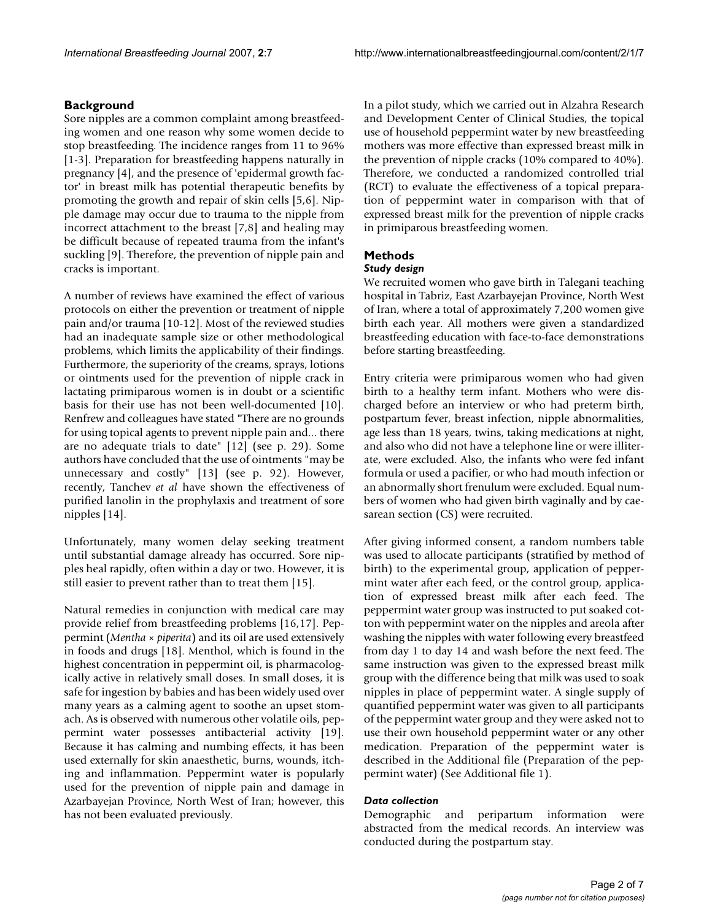### **Background**

Sore nipples are a common complaint among breastfeeding women and one reason why some women decide to stop breastfeeding. The incidence ranges from 11 to 96% [1-3]. Preparation for breastfeeding happens naturally in pregnancy [4], and the presence of 'epidermal growth factor' in breast milk has potential therapeutic benefits by promoting the growth and repair of skin cells [5,6]. Nipple damage may occur due to trauma to the nipple from incorrect attachment to the breast [7,8] and healing may be difficult because of repeated trauma from the infant's suckling [9]. Therefore, the prevention of nipple pain and cracks is important.

A number of reviews have examined the effect of various protocols on either the prevention or treatment of nipple pain and/or trauma [10-12]. Most of the reviewed studies had an inadequate sample size or other methodological problems, which limits the applicability of their findings. Furthermore, the superiority of the creams, sprays, lotions or ointments used for the prevention of nipple crack in lactating primiparous women is in doubt or a scientific basis for their use has not been well-documented [10]. Renfrew and colleagues have stated "There are no grounds for using topical agents to prevent nipple pain and... there are no adequate trials to date" [12] (see p. 29). Some authors have concluded that the use of ointments "may be unnecessary and costly" [13] (see p. 92). However, recently, Tanchev *et al* have shown the effectiveness of purified lanolin in the prophylaxis and treatment of sore nipples [14].

Unfortunately, many women delay seeking treatment until substantial damage already has occurred. Sore nipples heal rapidly, often within a day or two. However, it is still easier to prevent rather than to treat them [15].

Natural remedies in conjunction with medical care may provide relief from breastfeeding problems [16,17]. Peppermint (*Mentha × piperita*) and its oil are used extensively in foods and drugs [18]. Menthol, which is found in the highest concentration in peppermint oil, is pharmacologically active in relatively small doses. In small doses, it is safe for ingestion by babies and has been widely used over many years as a calming agent to soothe an upset stomach. As is observed with numerous other volatile oils, peppermint water possesses antibacterial activity [19]. Because it has calming and numbing effects, it has been used externally for skin anaesthetic, burns, wounds, itching and inflammation. Peppermint water is popularly used for the prevention of nipple pain and damage in Azarbayejan Province, North West of Iran; however, this has not been evaluated previously.

In a pilot study, which we carried out in Alzahra Research and Development Center of Clinical Studies, the topical use of household peppermint water by new breastfeeding mothers was more effective than expressed breast milk in the prevention of nipple cracks (10% compared to 40%). Therefore, we conducted a randomized controlled trial (RCT) to evaluate the effectiveness of a topical preparation of peppermint water in comparison with that of expressed breast milk for the prevention of nipple cracks in primiparous breastfeeding women.

## **Methods**

#### *Study design*

We recruited women who gave birth in Talegani teaching hospital in Tabriz, East Azarbayejan Province, North West of Iran, where a total of approximately 7,200 women give birth each year. All mothers were given a standardized breastfeeding education with face-to-face demonstrations before starting breastfeeding.

Entry criteria were primiparous women who had given birth to a healthy term infant. Mothers who were discharged before an interview or who had preterm birth, postpartum fever, breast infection, nipple abnormalities, age less than 18 years, twins, taking medications at night, and also who did not have a telephone line or were illiterate, were excluded. Also, the infants who were fed infant formula or used a pacifier, or who had mouth infection or an abnormally short frenulum were excluded. Equal numbers of women who had given birth vaginally and by caesarean section (CS) were recruited.

After giving informed consent, a random numbers table was used to allocate participants (stratified by method of birth) to the experimental group, application of peppermint water after each feed, or the control group, application of expressed breast milk after each feed. The peppermint water group was instructed to put soaked cotton with peppermint water on the nipples and areola after washing the nipples with water following every breastfeed from day 1 to day 14 and wash before the next feed. The same instruction was given to the expressed breast milk group with the difference being that milk was used to soak nipples in place of peppermint water. A single supply of quantified peppermint water was given to all participants of the peppermint water group and they were asked not to use their own household peppermint water or any other medication. Preparation of the peppermint water is described in the Additional file (Preparation of the peppermint water) (See Additional file 1).

#### *Data collection*

Demographic and peripartum information were abstracted from the medical records. An interview was conducted during the postpartum stay.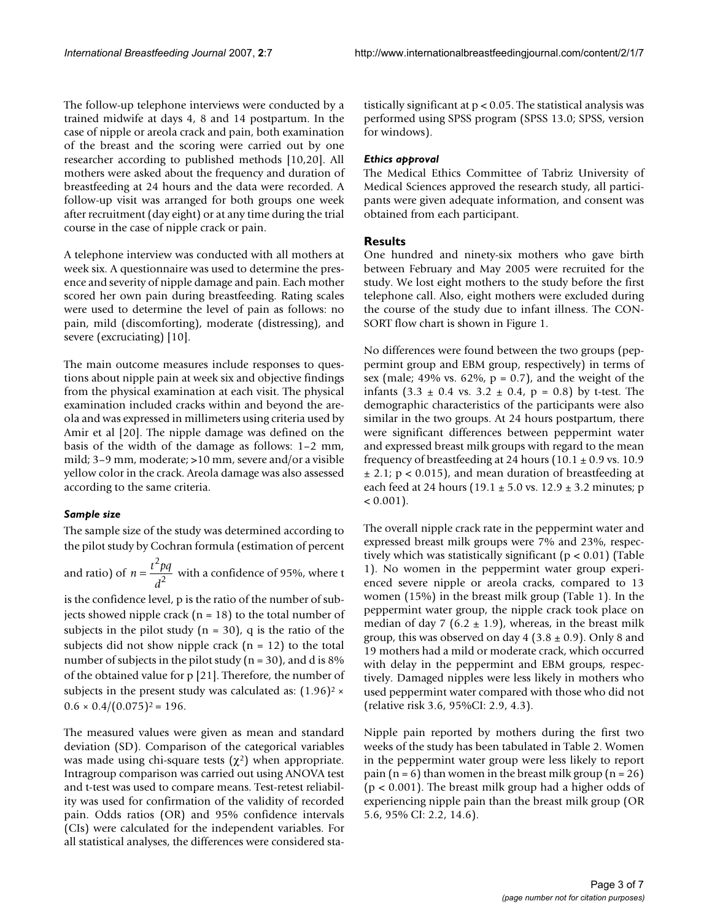The follow-up telephone interviews were conducted by a trained midwife at days 4, 8 and 14 postpartum. In the case of nipple or areola crack and pain, both examination of the breast and the scoring were carried out by one researcher according to published methods [10,20]. All mothers were asked about the frequency and duration of breastfeeding at 24 hours and the data were recorded. A follow-up visit was arranged for both groups one week after recruitment (day eight) or at any time during the trial course in the case of nipple crack or pain.

A telephone interview was conducted with all mothers at week six. A questionnaire was used to determine the presence and severity of nipple damage and pain. Each mother scored her own pain during breastfeeding. Rating scales were used to determine the level of pain as follows: no pain, mild (discomforting), moderate (distressing), and severe (excruciating) [10].

The main outcome measures include responses to questions about nipple pain at week six and objective findings from the physical examination at each visit. The physical examination included cracks within and beyond the areola and was expressed in millimeters using criteria used by Amir et al [20]. The nipple damage was defined on the basis of the width of the damage as follows: 1–2 mm, mild; 3–9 mm, moderate; >10 mm, severe and/or a visible yellow color in the crack. Areola damage was also assessed according to the same criteria.

#### *Sample size*

The sample size of the study was determined according to the pilot study by Cochran formula (estimation of percent

and ratio) of  $n = \frac{t^2 pq}{d^2}$  with a confidence of 95%, where t 2 2

is the confidence level, p is the ratio of the number of subjects showed nipple crack  $(n = 18)$  to the total number of subjects in the pilot study  $(n = 30)$ , q is the ratio of the subjects did not show nipple crack  $(n = 12)$  to the total number of subjects in the pilot study ( $n = 30$ ), and d is 8% of the obtained value for p [21]. Therefore, the number of subjects in the present study was calculated as:  $(1.96)^2 \times$  $0.6 \times 0.4/(0.075)^2 = 196.$ 

The measured values were given as mean and standard deviation (SD). Comparison of the categorical variables was made using chi-square tests  $(\chi^2)$  when appropriate. Intragroup comparison was carried out using ANOVA test and t-test was used to compare means. Test-retest reliability was used for confirmation of the validity of recorded pain. Odds ratios (OR) and 95% confidence intervals (CIs) were calculated for the independent variables. For all statistical analyses, the differences were considered statistically significant at p < 0.05. The statistical analysis was performed using SPSS program (SPSS 13.0; SPSS, version for windows).

#### *Ethics approval*

The Medical Ethics Committee of Tabriz University of Medical Sciences approved the research study, all participants were given adequate information, and consent was obtained from each participant.

#### **Results**

One hundred and ninety-six mothers who gave birth between February and May 2005 were recruited for the study. We lost eight mothers to the study before the first telephone call. Also, eight mothers were excluded during the course of the study due to infant illness. The CON-SORT flow chart is shown in Figure 1.

No differences were found between the two groups (peppermint group and EBM group, respectively) in terms of sex (male; 49% vs. 62%,  $p = 0.7$ ), and the weight of the infants  $(3.3 \pm 0.4 \text{ vs. } 3.2 \pm 0.4, \text{ p} = 0.8)$  by t-test. The demographic characteristics of the participants were also similar in the two groups. At 24 hours postpartum, there were significant differences between peppermint water and expressed breast milk groups with regard to the mean frequency of breastfeeding at 24 hours  $(10.1 \pm 0.9 \text{ vs. } 10.9$  $\pm$  2.1; p < 0.015), and mean duration of breastfeeding at each feed at 24 hours  $(19.1 \pm 5.0 \text{ vs. } 12.9 \pm 3.2 \text{ minutes})$  $< 0.001$ ).

The overall nipple crack rate in the peppermint water and expressed breast milk groups were 7% and 23%, respectively which was statistically significant (p < 0.01) (Table 1). No women in the peppermint water group experienced severe nipple or areola cracks, compared to 13 women (15%) in the breast milk group (Table 1). In the peppermint water group, the nipple crack took place on median of day 7 (6.2  $\pm$  1.9), whereas, in the breast milk group, this was observed on day 4  $(3.8 \pm 0.9)$ . Only 8 and 19 mothers had a mild or moderate crack, which occurred with delay in the peppermint and EBM groups, respectively. Damaged nipples were less likely in mothers who used peppermint water compared with those who did not (relative risk 3.6, 95%CI: 2.9, 4.3).

Nipple pain reported by mothers during the first two weeks of the study has been tabulated in Table 2. Women in the peppermint water group were less likely to report pain (n = 6) than women in the breast milk group (n = 26) (p < 0.001). The breast milk group had a higher odds of experiencing nipple pain than the breast milk group (OR 5.6, 95% CI: 2.2, 14.6).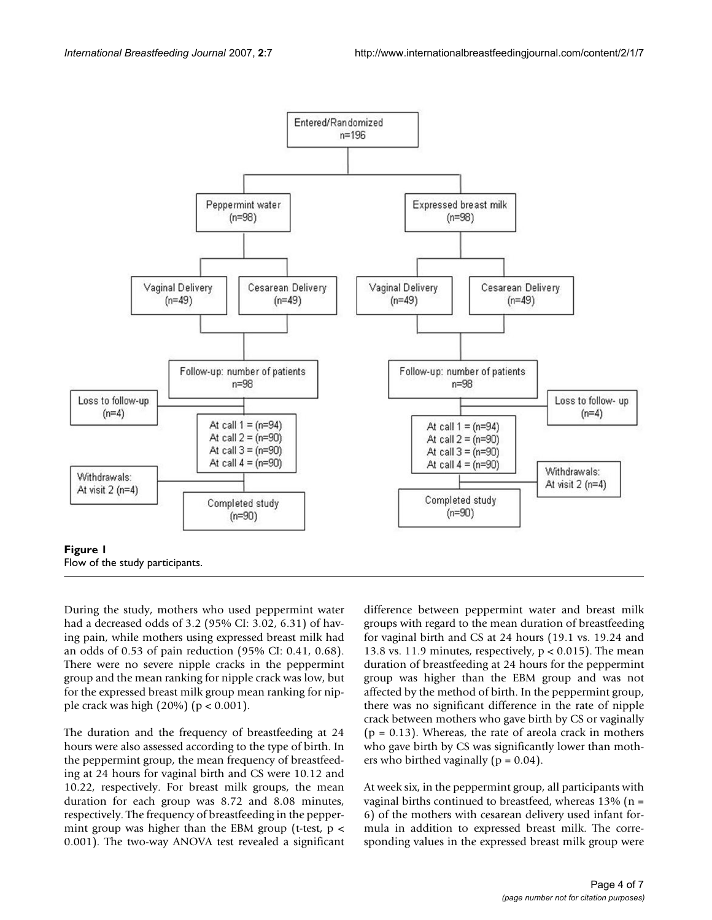

During the study, mothers who used peppermint water had a decreased odds of 3.2 (95% CI: 3.02, 6.31) of having pain, while mothers using expressed breast milk had an odds of 0.53 of pain reduction (95% CI: 0.41, 0.68). There were no severe nipple cracks in the peppermint group and the mean ranking for nipple crack was low, but for the expressed breast milk group mean ranking for nipple crack was high  $(20%) (p < 0.001)$ .

The duration and the frequency of breastfeeding at 24 hours were also assessed according to the type of birth. In the peppermint group, the mean frequency of breastfeeding at 24 hours for vaginal birth and CS were 10.12 and 10.22, respectively. For breast milk groups, the mean duration for each group was 8.72 and 8.08 minutes, respectively. The frequency of breastfeeding in the peppermint group was higher than the EBM group (t-test,  $p <$ 0.001). The two-way ANOVA test revealed a significant difference between peppermint water and breast milk groups with regard to the mean duration of breastfeeding for vaginal birth and CS at 24 hours (19.1 vs. 19.24 and 13.8 vs. 11.9 minutes, respectively,  $p < 0.015$ ). The mean duration of breastfeeding at 24 hours for the peppermint group was higher than the EBM group and was not affected by the method of birth. In the peppermint group, there was no significant difference in the rate of nipple crack between mothers who gave birth by CS or vaginally  $(p = 0.13)$ . Whereas, the rate of areola crack in mothers who gave birth by CS was significantly lower than mothers who birthed vaginally ( $p = 0.04$ ).

At week six, in the peppermint group, all participants with vaginal births continued to breastfeed, whereas 13% (n = 6) of the mothers with cesarean delivery used infant formula in addition to expressed breast milk. The corresponding values in the expressed breast milk group were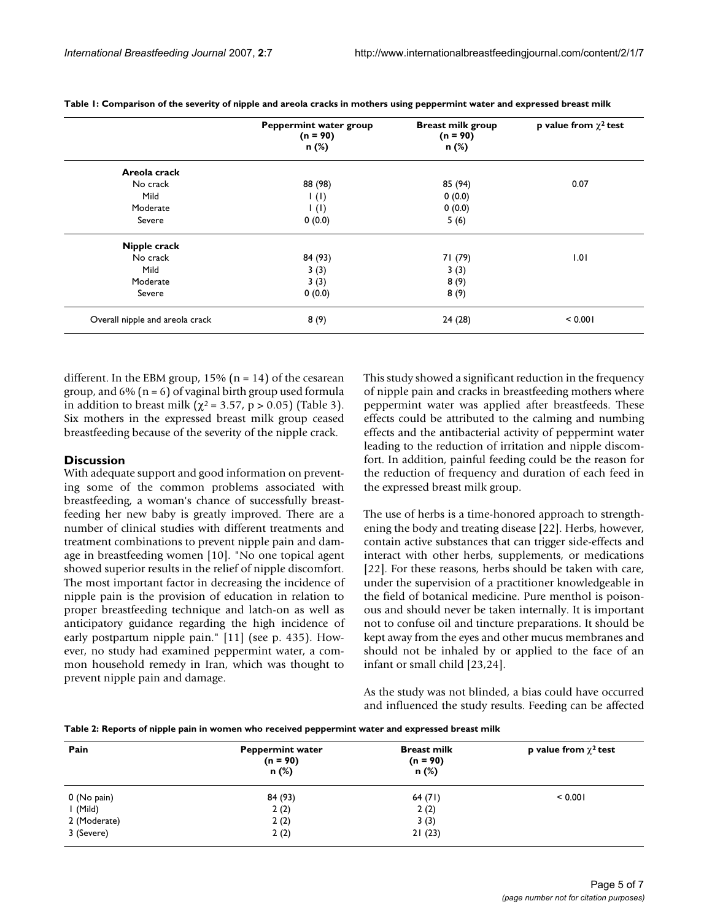|                                 | Peppermint water group<br>$(n = 90)$<br>n (%) | <b>Breast milk group</b><br>$(n = 90)$<br>n (%) | p value from $\chi^2$ test |
|---------------------------------|-----------------------------------------------|-------------------------------------------------|----------------------------|
| Areola crack                    |                                               |                                                 |                            |
| No crack                        | 88 (98)                                       | 85 (94)                                         | 0.07                       |
| Mild                            | $\mathsf{I}(\mathsf{I})$                      | 0(0.0)                                          |                            |
| Moderate                        | $\mathsf{I}(\mathsf{I})$                      | 0(0.0)                                          |                            |
| Severe                          | 0(0.0)                                        | 5(6)                                            |                            |
| Nipple crack                    |                                               |                                                 |                            |
| No crack                        | 84 (93)                                       | 71 (79)                                         | 1.01                       |
| Mild                            | 3(3)                                          | 3(3)                                            |                            |
| Moderate                        | 3(3)                                          | 8(9)                                            |                            |
| Severe                          | 0(0.0)                                        | 8(9)                                            |                            |
| Overall nipple and areola crack | 8(9)                                          | 24 (28)                                         | < 0.001                    |

**Table 1: Comparison of the severity of nipple and areola cracks in mothers using peppermint water and expressed breast milk**

different. In the EBM group,  $15\%$  (n = 14) of the cesarean group, and  $6\%$  (n = 6) of vaginal birth group used formula in addition to breast milk ( $\chi^2$  = 3.57, p > 0.05) (Table 3). Six mothers in the expressed breast milk group ceased breastfeeding because of the severity of the nipple crack.

#### **Discussion**

With adequate support and good information on preventing some of the common problems associated with breastfeeding, a woman's chance of successfully breastfeeding her new baby is greatly improved. There are a number of clinical studies with different treatments and treatment combinations to prevent nipple pain and damage in breastfeeding women [10]. "No one topical agent showed superior results in the relief of nipple discomfort. The most important factor in decreasing the incidence of nipple pain is the provision of education in relation to proper breastfeeding technique and latch-on as well as anticipatory guidance regarding the high incidence of early postpartum nipple pain." [11] (see p. 435). However, no study had examined peppermint water, a common household remedy in Iran, which was thought to prevent nipple pain and damage.

This study showed a significant reduction in the frequency of nipple pain and cracks in breastfeeding mothers where peppermint water was applied after breastfeeds. These effects could be attributed to the calming and numbing effects and the antibacterial activity of peppermint water leading to the reduction of irritation and nipple discomfort. In addition, painful feeding could be the reason for the reduction of frequency and duration of each feed in the expressed breast milk group.

The use of herbs is a time-honored approach to strengthening the body and treating disease [22]. Herbs, however, contain active substances that can trigger side-effects and interact with other herbs, supplements, or medications [22]. For these reasons, herbs should be taken with care, under the supervision of a practitioner knowledgeable in the field of botanical medicine. Pure menthol is poisonous and should never be taken internally. It is important not to confuse oil and tincture preparations. It should be kept away from the eyes and other mucus membranes and should not be inhaled by or applied to the face of an infant or small child [23,24].

As the study was not blinded, a bias could have occurred and influenced the study results. Feeding can be affected

**Table 2: Reports of nipple pain in women who received peppermint water and expressed breast milk**

| Pain         | <b>Peppermint water</b><br>$(n = 90)$<br>n (%) | <b>Breast milk</b><br>$(n = 90)$<br>n (%) | p value from $\chi^2$ test |
|--------------|------------------------------------------------|-------------------------------------------|----------------------------|
| 0 (No pain)  | 84 (93)                                        | 64(71)                                    | < 0.001                    |
| I (Mild)     | 2(2)                                           | 2(2)                                      |                            |
| 2 (Moderate) | 2(2)                                           | 3(3)                                      |                            |
| 3 (Severe)   | 2(2)                                           | 21(23)                                    |                            |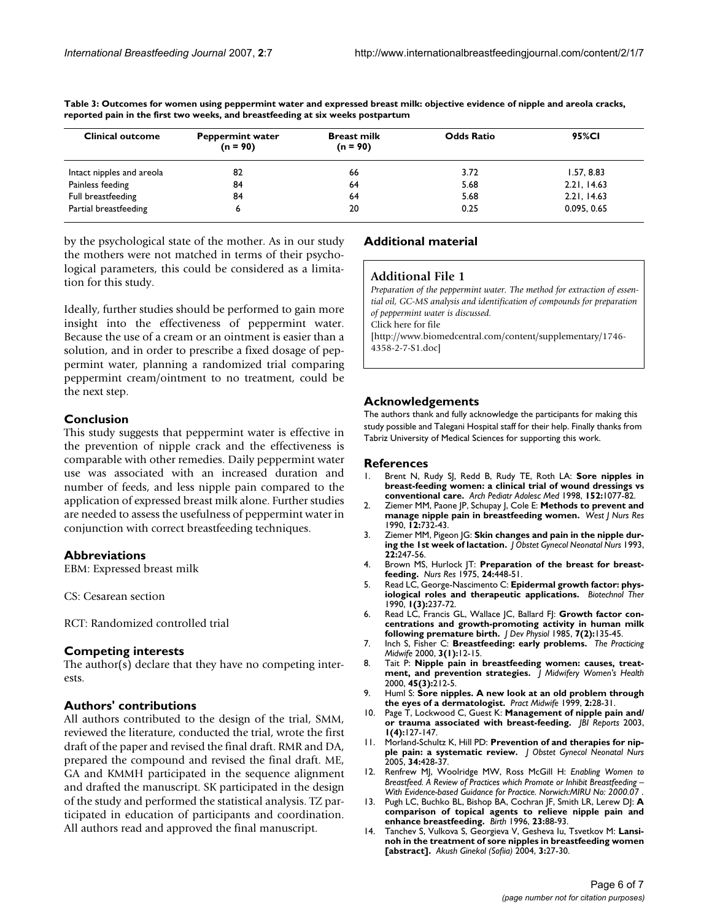| <b>Clinical outcome</b>   | <b>Peppermint water</b><br>$(n = 90)$ | <b>Breast milk</b><br>$(n = 90)$ | <b>Odds Ratio</b> | 95%CI       |
|---------------------------|---------------------------------------|----------------------------------|-------------------|-------------|
| Intact nipples and areola | 82                                    | 66                               | 3.72              | 1.57, 8.83  |
| Painless feeding          | 84                                    | 64                               | 5.68              | 2.21, 14.63 |
| Full breastfeeding        | 84                                    | 64                               | 5.68              | 2.21, 14.63 |
| Partial breastfeeding     |                                       | 20                               | 0.25              | 0.095, 0.65 |

**Table 3: Outcomes for women using peppermint water and expressed breast milk: objective evidence of nipple and areola cracks, reported pain in the first two weeks, and breastfeeding at six weeks postpartum**

by the psychological state of the mother. As in our study the mothers were not matched in terms of their psychological parameters, this could be considered as a limitation for this study.

Ideally, further studies should be performed to gain more insight into the effectiveness of peppermint water. Because the use of a cream or an ointment is easier than a solution, and in order to prescribe a fixed dosage of peppermint water, planning a randomized trial comparing peppermint cream/ointment to no treatment, could be the next step.

#### **Conclusion**

This study suggests that peppermint water is effective in the prevention of nipple crack and the effectiveness is comparable with other remedies. Daily peppermint water use was associated with an increased duration and number of feeds, and less nipple pain compared to the application of expressed breast milk alone. Further studies are needed to assess the usefulness of peppermint water in conjunction with correct breastfeeding techniques.

#### **Abbreviations**

EBM: Expressed breast milk

CS: Cesarean section

RCT: Randomized controlled trial

#### **Competing interests**

The author(s) declare that they have no competing interests.

#### **Authors' contributions**

All authors contributed to the design of the trial, SMM, reviewed the literature, conducted the trial, wrote the first draft of the paper and revised the final draft. RMR and DA, prepared the compound and revised the final draft. ME, GA and KMMH participated in the sequence alignment and drafted the manuscript. SK participated in the design of the study and performed the statistical analysis. TZ participated in education of participants and coordination. All authors read and approved the final manuscript.

#### **Additional material**

#### **Additional File 1**

*Preparation of the peppermint water. The method for extraction of essential oil, GC-MS analysis and identification of compounds for preparation of peppermint water is discussed.* Click here for file [\[http://www.biomedcentral.com/content/supplementary/1746-](http://www.biomedcentral.com/content/supplementary/1746-4358-2-7-S1.doc)

4358-2-7-S1.doc]

#### **Acknowledgements**

The authors thank and fully acknowledge the participants for making this study possible and Talegani Hospital staff for their help. Finally thanks from Tabriz University of Medical Sciences for supporting this work.

#### **References**

- 1. Brent N, Rudy SJ, Redd B, Rudy TE, Roth LA: **[Sore nipples in](http://www.ncbi.nlm.nih.gov/entrez/query.fcgi?cmd=Retrieve&db=PubMed&dopt=Abstract&list_uids=9811284) [breast-feeding women: a clinical trial of wound dressings vs](http://www.ncbi.nlm.nih.gov/entrez/query.fcgi?cmd=Retrieve&db=PubMed&dopt=Abstract&list_uids=9811284) [conventional care.](http://www.ncbi.nlm.nih.gov/entrez/query.fcgi?cmd=Retrieve&db=PubMed&dopt=Abstract&list_uids=9811284)** *Arch Pediatr Adolesc Med* 1998, **152:**1077-82.
- 2. Ziemer MM, Paone JP, Schupay J, Cole E: **[Methods to prevent and](http://www.ncbi.nlm.nih.gov/entrez/query.fcgi?cmd=Retrieve&db=PubMed&dopt=Abstract&list_uids=2275191) [manage nipple pain in breastfeeding women.](http://www.ncbi.nlm.nih.gov/entrez/query.fcgi?cmd=Retrieve&db=PubMed&dopt=Abstract&list_uids=2275191)** *West J Nurs Res* 1990, **12:**732-43.
- 3. Ziemer MM, Pigeon JG: **[Skin changes and pain in the nipple dur](http://www.ncbi.nlm.nih.gov/entrez/query.fcgi?cmd=Retrieve&db=PubMed&dopt=Abstract&list_uids=8331452)[ing the 1st week of lactation.](http://www.ncbi.nlm.nih.gov/entrez/query.fcgi?cmd=Retrieve&db=PubMed&dopt=Abstract&list_uids=8331452)** *J Obstet Gynecol Neonatal Nurs* 1993, **22:**247-56.
- 4. Brown MS, Hurlock JT: **[Preparation of the breast for breast](http://www.ncbi.nlm.nih.gov/entrez/query.fcgi?cmd=Retrieve&db=PubMed&dopt=Abstract&list_uids=1042716)[feeding.](http://www.ncbi.nlm.nih.gov/entrez/query.fcgi?cmd=Retrieve&db=PubMed&dopt=Abstract&list_uids=1042716)** *Nurs Res* 1975, **24:**448-51.
- 5. Read LC, George-Nascimento C: **Epidermal growth factor: physiological roles and therapeutic applications.** *Biotechnol Ther* 1990, **1(3):**237-72.
- 6. Read LC, Francis GL, Wallace JC, Ballard FJ: **[Growth factor con](http://www.ncbi.nlm.nih.gov/entrez/query.fcgi?cmd=Retrieve&db=PubMed&dopt=Abstract&list_uids=3886775)[centrations and growth-promoting activity in human milk](http://www.ncbi.nlm.nih.gov/entrez/query.fcgi?cmd=Retrieve&db=PubMed&dopt=Abstract&list_uids=3886775) [following premature birth.](http://www.ncbi.nlm.nih.gov/entrez/query.fcgi?cmd=Retrieve&db=PubMed&dopt=Abstract&list_uids=3886775)** *J Dev Physiol* 1985, **7(2):**135-45.
- 7. Inch S, Fisher C: **Breastfeeding: early problems.** *The Practicing Midwife* 2000, **3(1):**12-15.
- 8. Tait P: **Nipple pain in breastfeeding women: causes, treatment, and prevention strategies.** *J Midwifery Women's Health* 2000, **45(3):**212-5.
- 9. Huml S: **[Sore nipples. A new look at an old problem through](http://www.ncbi.nlm.nih.gov/entrez/query.fcgi?cmd=Retrieve&db=PubMed&dopt=Abstract&list_uids=10358658) [the eyes of a dermatologist.](http://www.ncbi.nlm.nih.gov/entrez/query.fcgi?cmd=Retrieve&db=PubMed&dopt=Abstract&list_uids=10358658)** *Pract Midwife* 1999, **2:**28-31.
- 10. Page T, Lockwood C, Guest K: **Management of nipple pain and/ or trauma associated with breast-feeding.** *JBI Reports* 2003, **1(4):**127-147.
- 11. Morland-Schultz K, Hill PD: **[Prevention of and therapies for nip](http://www.ncbi.nlm.nih.gov/entrez/query.fcgi?cmd=Retrieve&db=PubMed&dopt=Abstract&list_uids=16020410)[ple pain: a systematic review.](http://www.ncbi.nlm.nih.gov/entrez/query.fcgi?cmd=Retrieve&db=PubMed&dopt=Abstract&list_uids=16020410)** *J Obstet Gynecol Neonatal Nurs* 2005, **34:**428-37.
- 12. Renfrew MJ, Woolridge MW, Ross McGill H: *Enabling Women to Breastfeed. A Review of Practices which Promote or Inhibit Breastfeeding – With Evidence-based Guidance for Practice. Norwich:MIRU No: 2000.07* .
- 13. Pugh LC, Buchko BL, Bishop BA, Cochran JF, Smith LR, Lerew DJ: **[A](http://www.ncbi.nlm.nih.gov/entrez/query.fcgi?cmd=Retrieve&db=PubMed&dopt=Abstract&list_uids=8826172) [comparison of topical agents to relieve nipple pain and](http://www.ncbi.nlm.nih.gov/entrez/query.fcgi?cmd=Retrieve&db=PubMed&dopt=Abstract&list_uids=8826172) [enhance breastfeeding.](http://www.ncbi.nlm.nih.gov/entrez/query.fcgi?cmd=Retrieve&db=PubMed&dopt=Abstract&list_uids=8826172)** *Birth* 1996, **23:**88-93.
- 14. Tanchev S, Vulkova S, Georgieva V, Gesheva Iu, Tsvetkov M: **Lansinoh in the treatment of sore nipples in breastfeeding women [abstract].** *Akush Ginekol (Sofiia)* 2004, **3:**27-30.